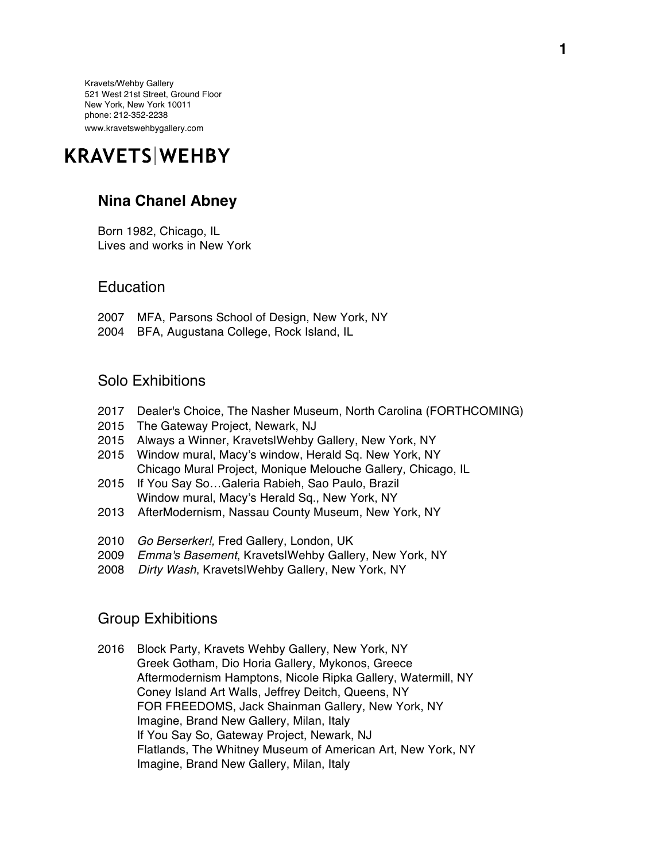Kravets/Wehby Gallery 521 West 21st Street, Ground Floor New York, New York 10011 phone: 212-352-2238 www.kravetswehbygallery.com

# **KRAVETS WEHBY**

## **Nina Chanel Abney**

Born 1982, Chicago, IL Lives and works in New York

#### **Education**

- 2007 MFA, Parsons School of Design, New York, NY
- 2004 BFA, Augustana College, Rock Island, IL

#### Solo Exhibitions

- 2017 Dealer's Choice, The Nasher Museum, North Carolina (FORTHCOMING)
- 2015 The Gateway Project, Newark, NJ
- 2015 Always a Winner, Kravets|Wehby Gallery, New York, NY
- 2015 Window mural, Macy's window, Herald Sq. New York, NY Chicago Mural Project, Monique Melouche Gallery, Chicago, IL
- 2015 If You Say So…Galeria Rabieh, Sao Paulo, Brazil Window mural, Macy's Herald Sq., New York, NY
- 2013 AfterModernism, Nassau County Museum, New York, NY
- 2010 *Go Berserker!,* Fred Gallery, London, UK
- 2009 *Emma's Basement*, Kravets|Wehby Gallery, New York, NY
- 2008 *Dirty Wash*, Kravets|Wehby Gallery, New York, NY

## Group Exhibitions

2016 Block Party, Kravets Wehby Gallery, New York, NY Greek Gotham, Dio Horia Gallery, Mykonos, Greece Aftermodernism Hamptons, Nicole Ripka Gallery, Watermill, NY Coney Island Art Walls, Jeffrey Deitch, Queens, NY FOR FREEDOMS, Jack Shainman Gallery, New York, NY Imagine, Brand New Gallery, Milan, Italy If You Say So, Gateway Project, Newark, NJ Flatlands, The Whitney Museum of American Art, New York, NY Imagine, Brand New Gallery, Milan, Italy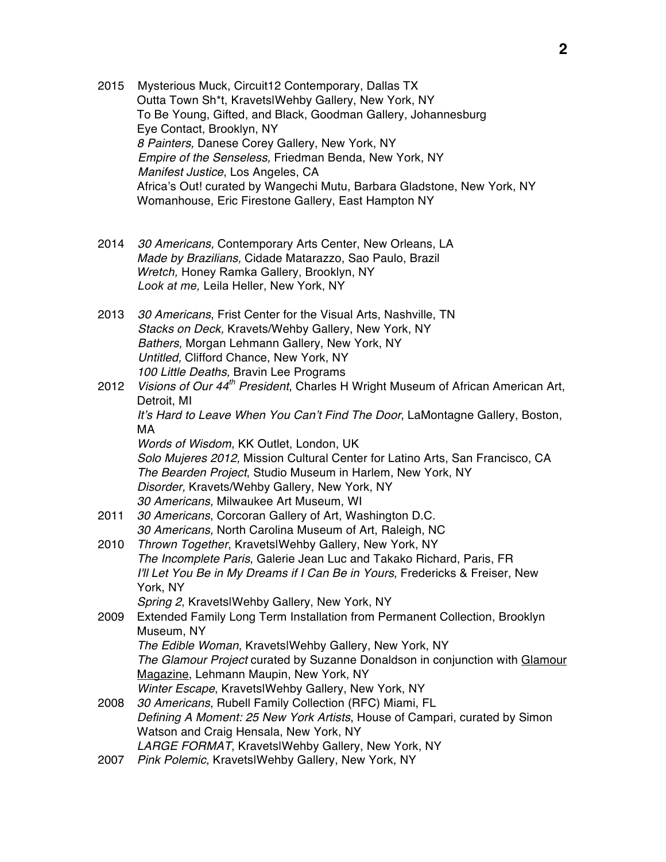- 2015 Mysterious Muck, Circuit12 Contemporary, Dallas TX Outta Town Sh\*t, Kravets|Wehby Gallery, New York, NY To Be Young, Gifted, and Black, Goodman Gallery, Johannesburg Eye Contact, Brooklyn, NY *8 Painters,* Danese Corey Gallery, New York, NY  *Empire of the Senseless,* Friedman Benda, New York, NY *Manifest Justice*, Los Angeles, CA Africa's Out! curated by Wangechi Mutu, Barbara Gladstone, New York, NY Womanhouse, Eric Firestone Gallery, East Hampton NY
- 2014 *30 Americans,* Contemporary Arts Center, New Orleans, LA *Made by Brazilians,* Cidade Matarazzo, Sao Paulo, Brazil *Wretch,* Honey Ramka Gallery, Brooklyn, NY *Look at me,* Leila Heller, New York, NY
- 2013 *30 Americans*, Frist Center for the Visual Arts, Nashville, TN *Stacks on Deck,* Kravets/Wehby Gallery, New York, NY  *Bathers,* Morgan Lehmann Gallery, New York, NY  *Untitled,* Clifford Chance, New York, NY  *100 Little Deaths,* Bravin Lee Programs
- 2012 *Visions of Our 44th President*, Charles H Wright Museum of African American Art, Detroit, MI *It's Hard to Leave When You Can't Find The Door*, LaMontagne Gallery, Boston, MA *Words of Wisdom*, KK Outlet, London, UK *Solo Mujeres 2012,* Mission Cultural Center for Latino Arts, San Francisco, CA *The Bearden Project*, Studio Museum in Harlem, New York, NY *Disorder,* Kravets/Wehby Gallery, New York, NY *30 Americans,* Milwaukee Art Museum, WI 2011 *30 Americans*, Corcoran Gallery of Art, Washington D.C.
- *30 Americans,* North Carolina Museum of Art, Raleigh, NC
- 2010 *Thrown Together*, Kravets|Wehby Gallery, New York, NY *The Incomplete Paris*, Galerie Jean Luc and Takako Richard, Paris, FR *I'll Let You Be in My Dreams if I Can Be in Yours*, Fredericks & Freiser, New York, NY
	- *Spring 2*, Kravets|Wehby Gallery, New York, NY
- 2009 Extended Family Long Term Installation from Permanent Collection, Brooklyn Museum, NY *The Edible Woman*, Kravets|Wehby Gallery, New York, NY
	- *The Glamour Project* curated by Suzanne Donaldson in conjunction with Glamour Magazine, Lehmann Maupin, New York, NY *Winter Escape*, Kravets|Wehby Gallery, New York, NY
- 2008 *30 Americans*, Rubell Family Collection (RFC) Miami, FL *Defining A Moment: 25 New York Artists*, House of Campari, curated by Simon Watson and Craig Hensala, New York, NY *LARGE FORMAT*, Kravets|Wehby Gallery, New York, NY
- 2007 *Pink Polemic*, Kravets|Wehby Gallery, New York, NY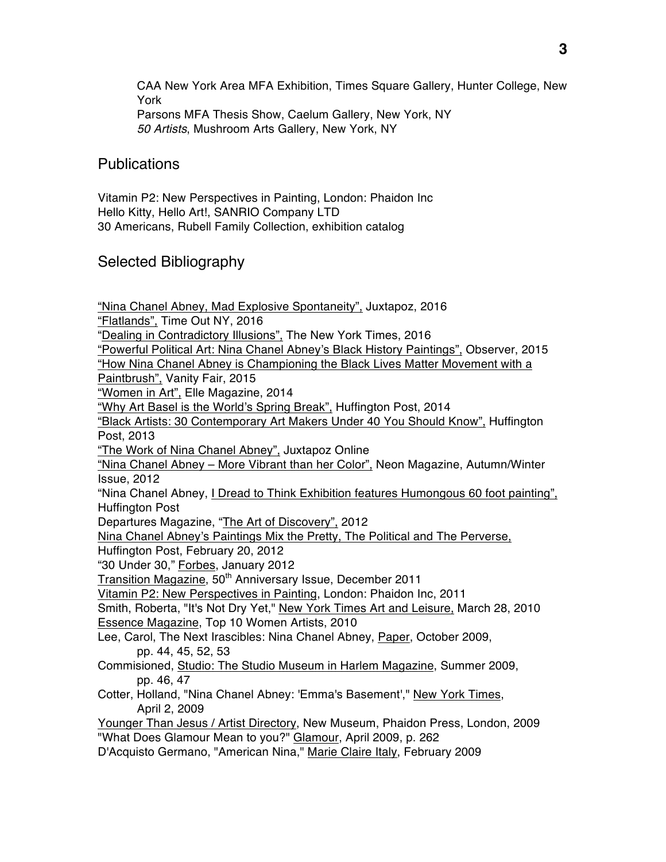CAA New York Area MFA Exhibition, Times Square Gallery, Hunter College, New York Parsons MFA Thesis Show, Caelum Gallery, New York, NY *50 Artists*, Mushroom Arts Gallery, New York, NY

#### Publications

Vitamin P2: New Perspectives in Painting, London: Phaidon Inc Hello Kitty, Hello Art!, SANRIO Company LTD 30 Americans, Rubell Family Collection, exhibition catalog

### Selected Bibliography

"Nina Chanel Abney, Mad Explosive Spontaneity", Juxtapoz, 2016 "Flatlands", Time Out NY, 2016 "Dealing in Contradictory Illusions", The New York Times, 2016 "Powerful Political Art: Nina Chanel Abney's Black History Paintings", Observer, 2015 "How Nina Chanel Abney is Championing the Black Lives Matter Movement with a Paintbrush", Vanity Fair, 2015 "Women in Art", Elle Magazine, 2014 "Why Art Basel is the World's Spring Break", Huffington Post, 2014 "Black Artists: 30 Contemporary Art Makers Under 40 You Should Know", Huffington Post, 2013 "The Work of Nina Chanel Abney", Juxtapoz Online "Nina Chanel Abney – More Vibrant than her Color", Neon Magazine, Autumn/Winter Issue, 2012 "Nina Chanel Abney, I Dread to Think Exhibition features Humongous 60 foot painting", Huffington Post Departures Magazine, "The Art of Discovery", 2012 Nina Chanel Abney's Paintings Mix the Pretty, The Political and The Perverse, Huffington Post, February 20, 2012 "30 Under 30," Forbes, January 2012 Transition Magazine, 50<sup>th</sup> Anniversary Issue, December 2011 Vitamin P2: New Perspectives in Painting, London: Phaidon Inc, 2011 Smith, Roberta, "It's Not Dry Yet," New York Times Art and Leisure, March 28, 2010 Essence Magazine, Top 10 Women Artists, 2010 Lee, Carol, The Next Irascibles: Nina Chanel Abney, Paper, October 2009, pp. 44, 45, 52, 53 Commisioned, Studio: The Studio Museum in Harlem Magazine, Summer 2009, pp. 46, 47 Cotter, Holland, "Nina Chanel Abney: 'Emma's Basement'," New York Times, April 2, 2009 Younger Than Jesus / Artist Directory, New Museum, Phaidon Press, London, 2009 "What Does Glamour Mean to you?" Glamour, April 2009, p. 262

D'Acquisto Germano, "American Nina," Marie Claire Italy, February 2009